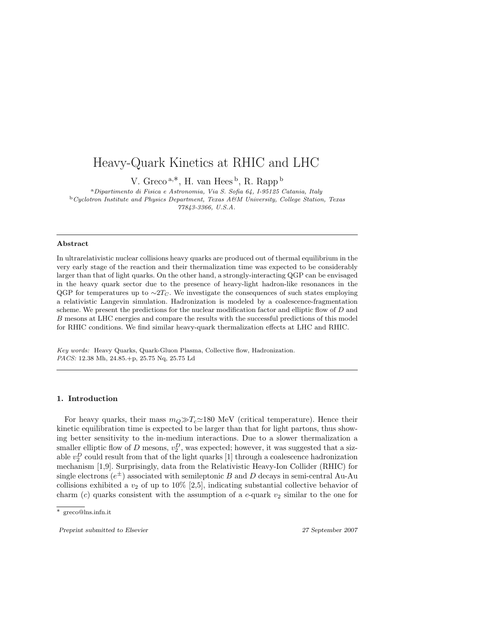# Heavy-Quark Kinetics at RHIC and LHC

V. Greco<sup>a,\*</sup>, H. van Hees<sup>b</sup>, R. Rapp<sup>b</sup>

<sup>a</sup>Dipartimento di Fisica e Astronomia, Via S. Sofia 64, I-95125 Catania, Italy <sup>b</sup>Cyclotron Institute and Physics Department, Texas A&M University, College Station, Texas 77843-3366, U.S.A.

#### Abstract

In ultrarelativistic nuclear collisions heavy quarks are produced out of thermal equilibrium in the very early stage of the reaction and their thermalization time was expected to be considerably larger than that of light quarks. On the other hand, a strongly-interacting QGP can be envisaged in the heavy quark sector due to the presence of heavy-light hadron-like resonances in the QGP for temperatures up to  $\sim 2T_C$ . We investigate the consequences of such states employing a relativistic Langevin simulation. Hadronization is modeled by a coalescence-fragmentation scheme. We present the predictions for the nuclear modification factor and elliptic flow of D and B mesons at LHC energies and compare the results with the successful predictions of this model for RHIC conditions. We find similar heavy-quark thermalization effects at LHC and RHIC.

Key words: Heavy Quarks, Quark-Gluon Plasma, Collective flow, Hadronization. PACS: 12.38 Mh, 24.85.+p, 25.75 Nq, 25.75 Ld

#### 1. Introduction

For heavy quarks, their mass  $m_Q \gg T_c \approx 180$  MeV (critical temperature). Hence their kinetic equilibration time is expected to be larger than that for light partons, thus showing better sensitivity to the in-medium interactions. Due to a slower thermalization a smaller elliptic flow of D mesons,  $v_2^D$ , was expected; however, it was suggested that a sizable  $v_2^D$  could result from that of the light quarks [1] through a coalescence hadronization mechanism [1,9]. Surprisingly, data from the Relativistic Heavy-Ion Collider (RHIC) for single electrons  $(e^{\pm})$  associated with semileptonic B and D decays in semi-central Au-Au collisions exhibited a  $v_2$  of up to 10% [2,5], indicating substantial collective behavior of charm (c) quarks consistent with the assumption of a c-quark  $v_2$  similar to the one for

Preprint submitted to Elsevier 2007 27 September 2007

<sup>∗</sup> greco@lns.infn.it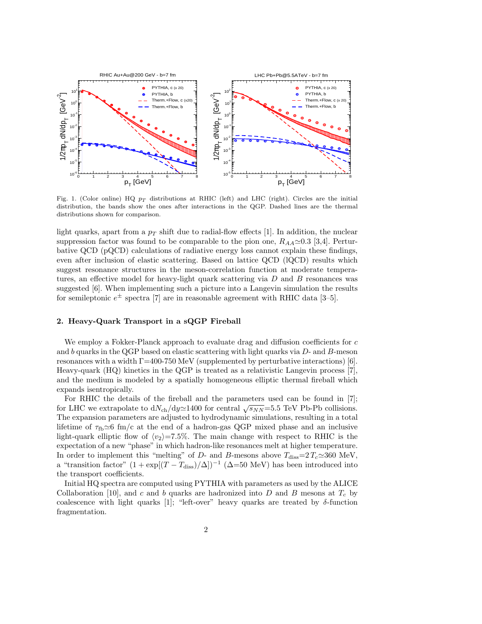

Fig. 1. (Color online) HQ  $p_T$  distributions at RHIC (left) and LHC (right). Circles are the initial distribution, the bands show the ones after interactions in the QGP. Dashed lines are the thermal distributions shown for comparison.

light quarks, apart from a  $p<sub>T</sub>$  shift due to radial-flow effects [1]. In addition, the nuclear suppression factor was found to be comparable to the pion one,  $R_{AA} \simeq 0.3$  [3,4]. Perturbative QCD (pQCD) calculations of radiative energy loss cannot explain these findings, even after inclusion of elastic scattering. Based on lattice QCD (lQCD) results which suggest resonance structures in the meson-correlation function at moderate temperatures, an effective model for heavy-light quark scattering via  $D$  and  $B$  resonances was suggested [6]. When implementing such a picture into a Langevin simulation the results for semileptonic  $e^{\pm}$  spectra [7] are in reasonable agreement with RHIC data [3-5].

# 2. Heavy-Quark Transport in a sQGP Fireball

We employ a Fokker-Planck approach to evaluate drag and diffusion coefficients for  $c$ and b quarks in the QGP based on elastic scattering with light quarks via  $D$ - and  $B$ -meson resonances with a width  $\Gamma$ =400-750 MeV (supplemented by perturbative interactions) [6]. Heavy-quark (HQ) kinetics in the QGP is treated as a relativistic Langevin process [7], and the medium is modeled by a spatially homogeneous elliptic thermal fireball which expands isentropically.

For RHIC the details of the fireball and the parameters used can be found in [7]; for LHC we extrapolate to  $dN_{ch}/dy \approx 1400$  for central  $\sqrt{s_{NN}}$ =5.5 TeV Pb-Pb collisions. The expansion parameters are adjusted to hydrodynamic simulations, resulting in a total lifetime of  $\tau_{\text{fb}} \simeq 6$  fm/c at the end of a hadron-gas QGP mixed phase and an inclusive light-quark elliptic flow of  $\langle v_2 \rangle = 7.5\%$ . The main change with respect to RHIC is the expectation of a new "phase" in which hadron-like resonances melt at higher temperature. In order to implement this "melting" of D- and B-mesons above  $T_{\text{diss}}=2 T_c \approx 360 \text{ MeV}$ , a "transition factor"  $(1 + \exp[(T - T_{\text{diss}})/\Delta])^{-1}$  ( $\Delta = 50$  MeV) has been introduced into the transport coefficients.

Initial HQ spectra are computed using PYTHIA with parameters as used by the ALICE Collaboration [10], and c and b quarks are hadronized into D and B mesons at  $T_c$  by coalescence with light quarks [1]; "left-over" heavy quarks are treated by  $\delta$ -function fragmentation.